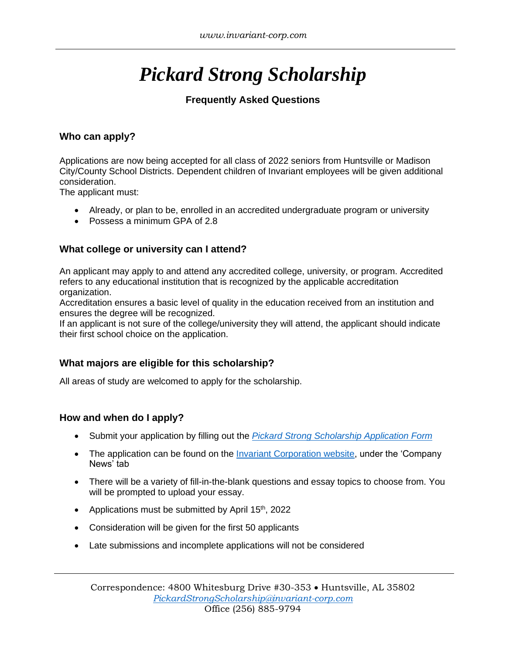# *Pickard Strong Scholarship*

## **Frequently Asked Questions**

## **Who can apply?**

Applications are now being accepted for all class of 2022 seniors from Huntsville or Madison City/County School Districts. Dependent children of Invariant employees will be given additional consideration.

The applicant must:

- Already, or plan to be, enrolled in an accredited undergraduate program or university
- Possess a minimum GPA of 2.8

#### **What college or university can I attend?**

An applicant may apply to and attend any accredited college, university, or program. Accredited refers to any educational institution that is recognized by the applicable accreditation organization.

Accreditation ensures a basic level of quality in the education received from an institution and ensures the degree will be recognized.

If an applicant is not sure of the college/university they will attend, the applicant should indicate their first school choice on the application.

## **What majors are eligible for this scholarship?**

All areas of study are welcomed to apply for the scholarship.

#### **How and when do I apply?**

- Submit your application by filling out the *[Pickard Strong Scholarship](https://forms.office.com/pages/responsepage.aspx?id=eocamqgnkkON39VO0bNqgdcGtwd36dBDij2-mTHjH3hUOFE2VU1WRVYxRjJMTFFYWTRMS0NDM0tWVS4u&web=1&wdLOR=c756C7D79-E27E-4E29-94E9-0FEB01C73494) Application Form*
- The application can be found on the [Invariant Corporation website,](https://www.invariant-corp.com/index.php/company/company-news) under the 'Company News' tab
- There will be a variety of fill-in-the-blank questions and essay topics to choose from. You will be prompted to upload your essay.
- Applications must be submitted by April 15<sup>th</sup>, 2022
- Consideration will be given for the first 50 applicants
- Late submissions and incomplete applications will not be considered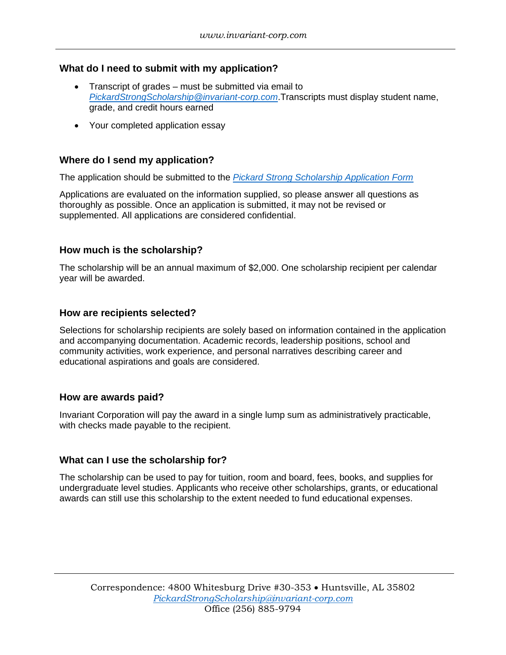### **What do I need to submit with my application?**

- Transcript of grades must be submitted via email to *[PickardStrongScholarship@invariant-corp.com](mailto:PickardStrongScholarship@invariant-corp.com)*.Transcripts must display student name, grade, and credit hours earned
- Your completed application essay

#### **Where do I send my application?**

The application should be submitted to the *[Pickard Strong Scholarship Application Form](https://forms.office.com/pages/responsepage.aspx?id=eocamqgnkkON39VO0bNqgdcGtwd36dBDij2-mTHjH3hUOFE2VU1WRVYxRjJMTFFYWTRMS0NDM0tWVS4u&web=1&wdLOR=c756C7D79-E27E-4E29-94E9-0FEB01C73494)*

Applications are evaluated on the information supplied, so please answer all questions as thoroughly as possible. Once an application is submitted, it may not be revised or supplemented. All applications are considered confidential.

#### **How much is the scholarship?**

The scholarship will be an annual maximum of \$2,000. One scholarship recipient per calendar year will be awarded.

#### **How are recipients selected?**

Selections for scholarship recipients are solely based on information contained in the application and accompanying documentation. Academic records, leadership positions, school and community activities, work experience, and personal narratives describing career and educational aspirations and goals are considered.

#### **How are awards paid?**

Invariant Corporation will pay the award in a single lump sum as administratively practicable, with checks made payable to the recipient.

#### **What can I use the scholarship for?**

The scholarship can be used to pay for tuition, room and board, fees, books, and supplies for undergraduate level studies. Applicants who receive other scholarships, grants, or educational awards can still use this scholarship to the extent needed to fund educational expenses.